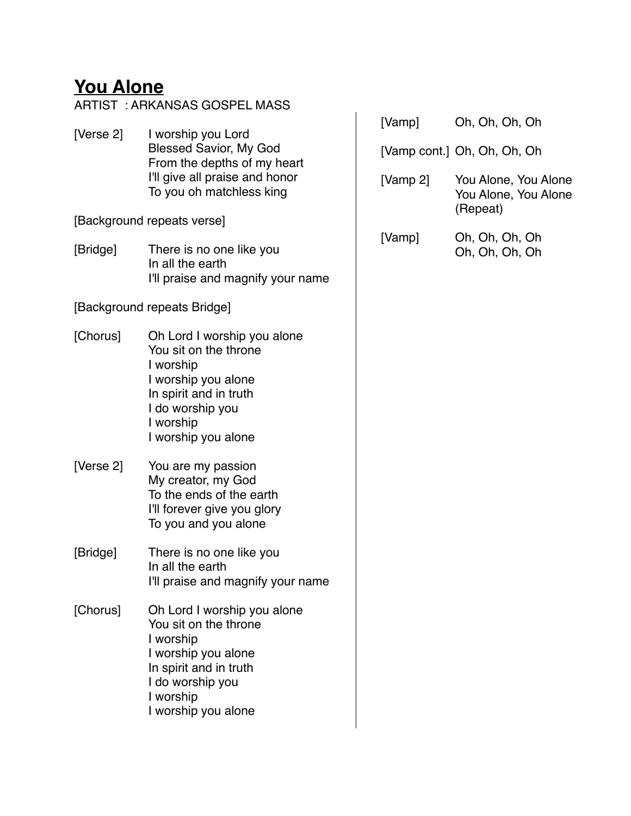#### **You Alone**

ARTIST : ARKANSAS GOSPEL MASS [Verse 2] I worship you Lord Blessed Savior, My God From the depths of my heart I'll give all praise and honor To you oh matchless king [Background repeats verse] [Bridge] There is no one like you In all the earth I'll praise and magnify your name [Background repeats Bridge] [Chorus] Oh Lord I worship you alone You sit on the throne I worship I worship you alone In spirit and in truth I do worship you I worship I worship you alone [Verse 2] You are my passion My creator, my God To the ends of the earth I'll forever give you glory To you and you alone [Bridge] There is no one like you In all the earth I'll praise and magnify your name [Chorus] Oh Lord I worship you alone You sit on the throne I worship I worship you alone In spirit and in truth I do worship you I worship I worship you alone

| [Vamp]   | Oh, Oh, Oh, Oh                                           |
|----------|----------------------------------------------------------|
|          | [Vamp cont.] Oh, Oh, Oh, Oh                              |
| [Vamp 2] | You Alone, You Alone<br>You Alone, You Alone<br>(Repeat) |
| [Vamp]   | Oh, Oh, Oh, Oh<br>Oh, Oh, Oh, Oh                         |
|          |                                                          |
|          |                                                          |
|          |                                                          |
|          |                                                          |
|          |                                                          |
|          |                                                          |
|          |                                                          |
|          |                                                          |
|          |                                                          |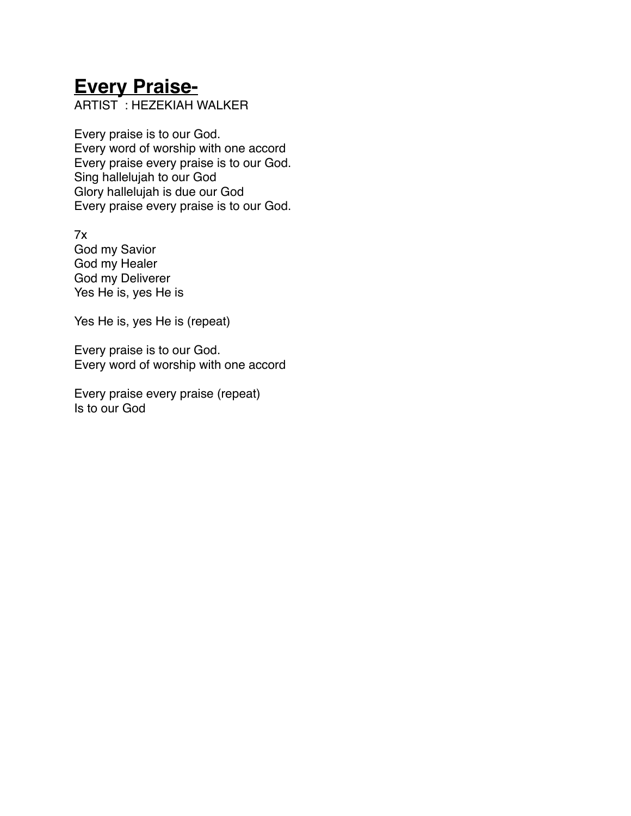## **Every Praise-**

ARTIST : HEZEKIAH WALKER! !

Every praise is to our God. Every word of worship with one accord Every praise every praise is to our God. Sing hallelujah to our God Glory hallelujah is due our God Every praise every praise is to our God.

7x God my Savior God my Healer God my Deliverer Yes He is, yes He is

Yes He is, yes He is (repeat)

Every praise is to our God. Every word of worship with one accord

Every praise every praise (repeat) Is to our God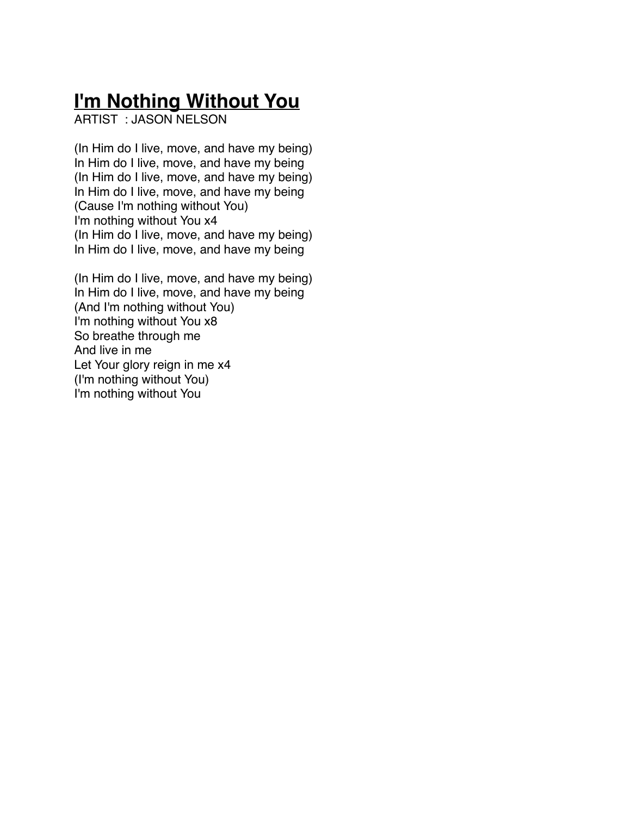## **I'm Nothing Without You**

ARTIST : JASON NELSON ! !

(In Him do I live, move, and have my being) In Him do I live, move, and have my being (In Him do I live, move, and have my being) In Him do I live, move, and have my being (Cause I'm nothing without You) I'm nothing without You x4 (In Him do I live, move, and have my being) In Him do I live, move, and have my being

(In Him do I live, move, and have my being) In Him do I live, move, and have my being (And I'm nothing without You) I'm nothing without You x8 So breathe through me And live in me Let Your glory reign in me x4 (I'm nothing without You) I'm nothing without You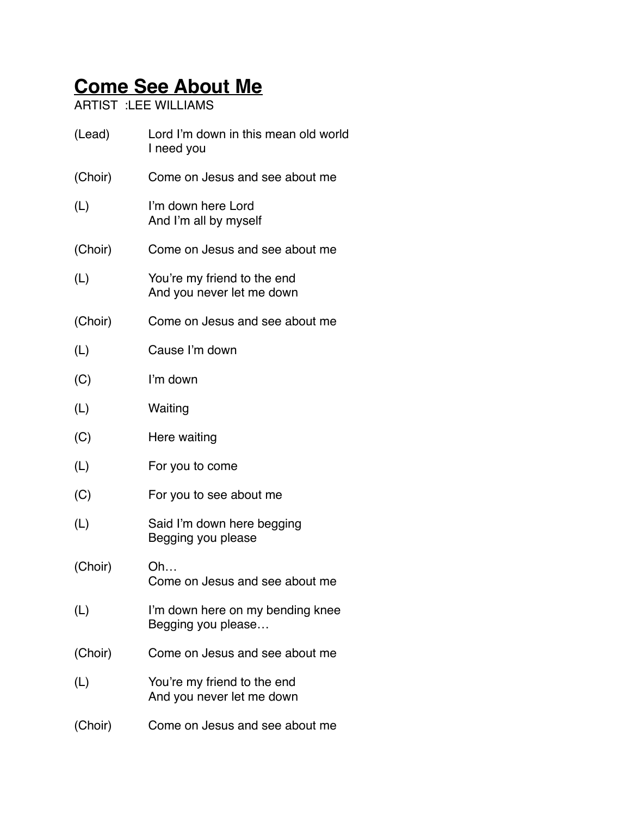# **Come See About Me**

ARTIST :LEE WILLIAMS

| (Lead)  | Lord I'm down in this mean old world<br>I need you       |
|---------|----------------------------------------------------------|
| (Choir) | Come on Jesus and see about me                           |
| (L)     | I'm down here Lord<br>And I'm all by myself              |
| (Choir) | Come on Jesus and see about me                           |
| (L)     | You're my friend to the end<br>And you never let me down |
| (Choir) | Come on Jesus and see about me                           |
| (L)     | Cause I'm down                                           |
| (C)     | I'm down                                                 |
| (L)     | Waiting                                                  |
| (C)     | Here waiting                                             |
| (L)     | For you to come                                          |
| (C)     | For you to see about me                                  |
| (L)     | Said I'm down here begging<br>Begging you please         |
| (Choir) | Oh<br>Come on Jesus and see about me                     |
| (L)     | I'm down here on my bending knee<br>Begging you please   |
| (Choir) | Come on Jesus and see about me                           |
| (L)     | You're my friend to the end<br>And you never let me down |
| (Choir) | Come on Jesus and see about me                           |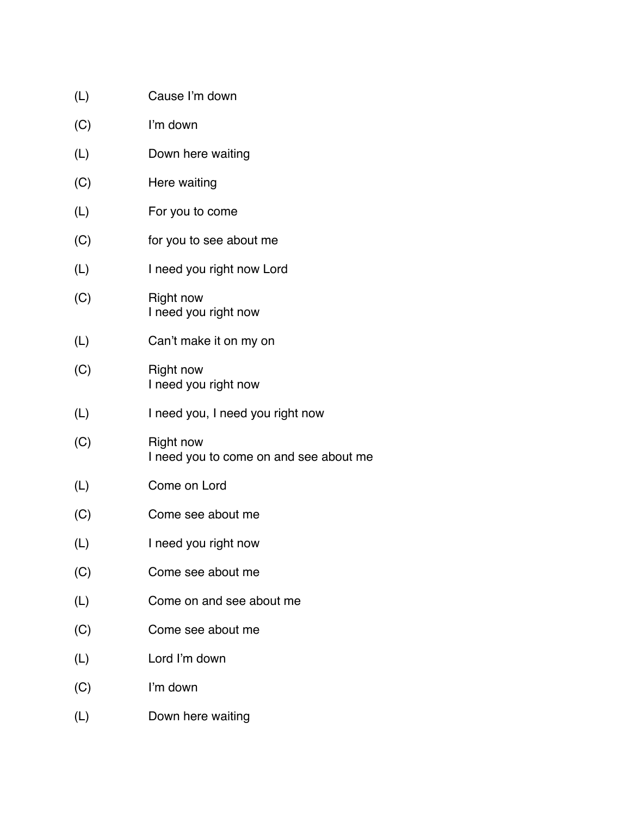| (L) | Cause I'm down                                             |
|-----|------------------------------------------------------------|
| (C) | I'm down                                                   |
| (L) | Down here waiting                                          |
| (C) | Here waiting                                               |
| (L) | For you to come                                            |
| (C) | for you to see about me                                    |
| (L) | I need you right now Lord                                  |
| (C) | <b>Right now</b><br>I need you right now                   |
| (L) | Can't make it on my on                                     |
| (C) | <b>Right now</b><br>I need you right now                   |
| (L) | I need you, I need you right now                           |
| (C) | <b>Right now</b><br>I need you to come on and see about me |
| (L) | Come on Lord                                               |
| (C) | Come see about me                                          |
| (L) | I need you right now                                       |
| (C) | Come see about me                                          |
| (L) | Come on and see about me                                   |
| (C) | Come see about me                                          |
| (L) | Lord I'm down                                              |
| (C) | I'm down                                                   |
| (L) | Down here waiting                                          |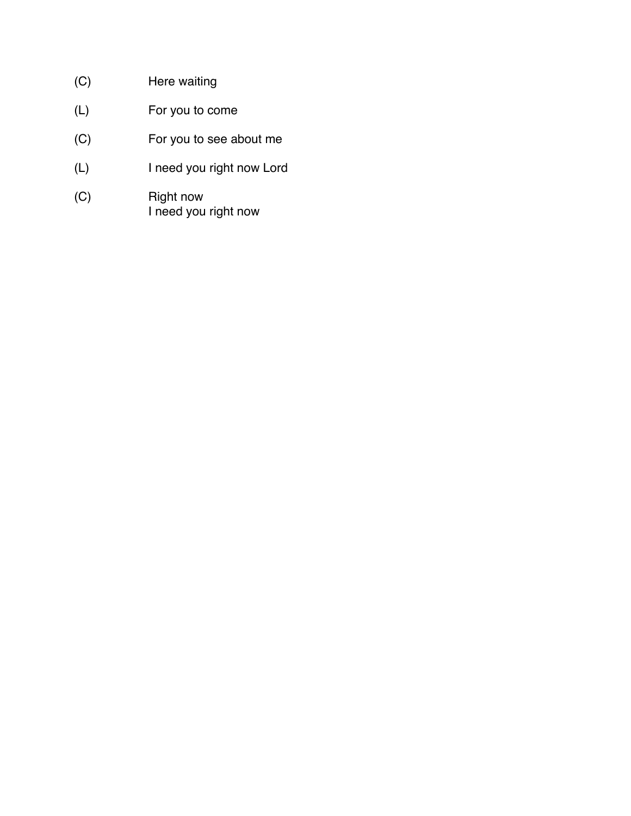- (C) Here waiting
- (L) For you to come
- (C) For you to see about me
- (L) I need you right now Lord
- (C)! ! Right now I need you right now